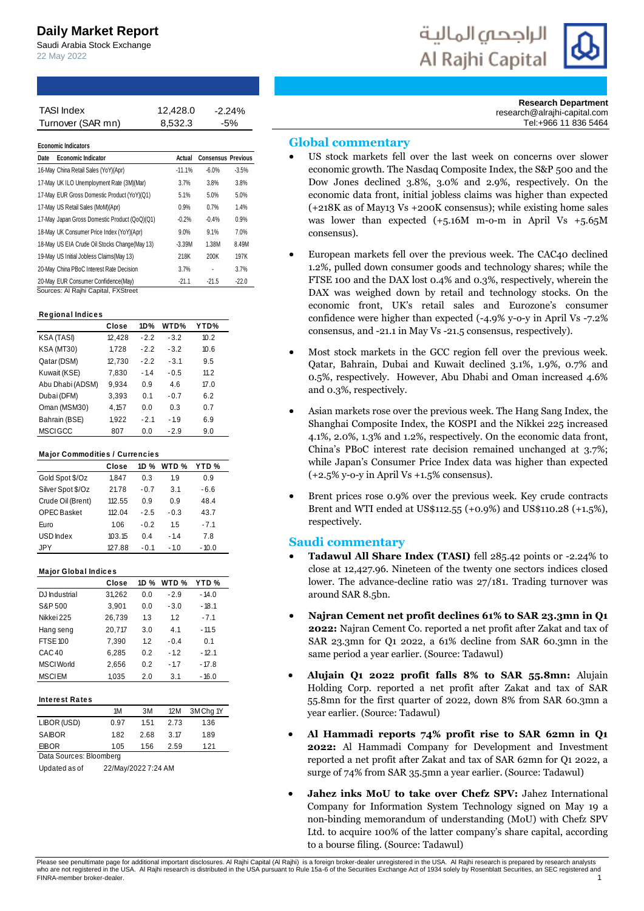# **Daily Market Report**

Saudi Arabia Stock Exchange 22 May 2022

| الراجحيى المالية |  |
|------------------|--|
| Al Rajhi Capital |  |



**Research Department** research@alrajhi-capital.com Tel:+966 11 836 5464

## **Global commentary**

- US stock markets fell over the last week on concerns over slower economic growth. The Nasdaq Composite Index, the S&P 500 and the Dow Jones declined 3.8%, 3.0% and 2.9%, respectively. On the economic data front, initial jobless claims was higher than expected (+218K as of May13 Vs +200K consensus); while existing home sales was lower than expected  $(+5.16M$  m-o-m in April Vs  $+5.65M$ consensus).
- European markets fell over the previous week. The CAC40 declined 1.2%, pulled down consumer goods and technology shares; while the FTSE 100 and the DAX lost 0.4% and 0.3%, respectively, wherein the DAX was weighed down by retail and technology stocks. On the economic front, UK's retail sales and Eurozone's consumer confidence were higher than expected (-4.9% y-o-y in April Vs -7.2% consensus, and -21.1 in May Vs -21.5 consensus, respectively).
- Most stock markets in the GCC region fell over the previous week. Qatar, Bahrain, Dubai and Kuwait declined 3.1%, 1.9%, 0.7% and 0.5%, respectively. However, Abu Dhabi and Oman increased 4.6% and 0.3%, respectively.
- Asian markets rose over the previous week. The Hang Sang Index, the Shanghai Composite Index, the KOSPI and the Nikkei 225 increased 4.1%, 2.0%, 1.3% and 1.2%, respectively. On the economic data front, China's PBoC interest rate decision remained unchanged at 3.7%; while Japan's Consumer Price Index data was higher than expected  $(+2.5\%$  y-o-y in April Vs  $+1.5\%$  consensus).
- Brent prices rose 0.9% over the previous week. Key crude contracts Brent and WTI ended at US\$112.55 (+0.9%) and US\$110.28 (+1.5%), respectively.

## **Saudi commentary**

- **Tadawul All Share Index (TASI)** fell 285.42 points or -2.24% to close at 12,427.96. Nineteen of the twenty one sectors indices closed lower. The advance-decline ratio was 27/181. Trading turnover was around SAR 8.5bn.
- **Najran Cement net profit declines 61% to SAR 23.3mn in Q1 2022:** Najran Cement Co. reported a net profit after Zakat and tax of SAR 23.3mn for Q1 2022, a 61% decline from SAR 60.3mn in the same period a year earlier. (Source: Tadawul)
- **Alujain Q1 2022 profit falls 8% to SAR 55.8mn:** Alujain Holding Corp. reported a net profit after Zakat and tax of SAR 55.8mn for the first quarter of 2022, down 8% from SAR 60.3mn a year earlier. (Source: Tadawul)
- **Al Hammadi reports 74% profit rise to SAR 62mn in Q1 2022:** Al Hammadi Company for Development and Investment reported a net profit after Zakat and tax of SAR 62mn for Q1 2022, a surge of 74% from SAR 35.5mn a year earlier. (Source: Tadawul)
- **Jahez inks MoU to take over Chefz SPV:** Jahez International Company for Information System Technology signed on May 19 a non-binding memorandum of understanding (MoU) with Chefz SPV Ltd. to acquire 100% of the latter company's share capital, according



Please see penultimate page for additional important disclosures. Al Rajhi Capital (Al Rajhi) is a foreign broker-dealer unregistered in the USA. Al Rajhi research is prepared by research analysts who are not registered in the USA. Al Rajhi research is distributed in the USA pursuant to Rule 15a-6 of the Securities Exchange Act of 1934 solely by Rosenblatt Securities, an SEC registered and FINRA-member broker-dealer

Turnover (SAR mn) 8,532.3 -5% 12,428.0

| <b>TASI Index</b>                              |                     |        | 12,428.0   |                                  | $-2.24%$ |   |                                                                                                 |
|------------------------------------------------|---------------------|--------|------------|----------------------------------|----------|---|-------------------------------------------------------------------------------------------------|
| Turnover (SAR mn)                              |                     |        | 8,532.3    |                                  | $-5%$    |   |                                                                                                 |
|                                                |                     |        |            |                                  |          |   | <b>Global commentary</b>                                                                        |
| <b>Economic Indicators</b>                     |                     |        |            |                                  |          |   |                                                                                                 |
| <b>Economic Indicator</b><br>Date              |                     |        |            | <b>Actual Consensus Previous</b> |          |   | US stock markets fell over the las                                                              |
| 16-May China Retail Sales (YoY)(Apr)           |                     |        | $-11.1%$   | $-6.0%$                          | $-3.5%$  |   | economic growth. The Nasdaq Comp                                                                |
| 17-May UK ILO Unemployment Rate (3M)(Mar)      |                     |        | 3.7%       | 3.8%                             | 3.8%     |   | Dow Jones declined 3.8%, 3.0%                                                                   |
| 17-May EUR Gross Domestic Product (YoY)(Q1)    |                     |        | 5.1%       | 5.0%                             | 5.0%     |   | economic data front, initial jobless                                                            |
| 17-May US Retail Sales (MoM)(Apr)              |                     |        | 0.9%       | 0.7%                             | 1.4%     |   | $(+218K$ as of May13 Vs $+200K$ cons                                                            |
| 17-May Japan Gross Domestic Product (QoQ)(Q1)  |                     |        | $-0.2%$    | $-0.4%$                          | 0.9%     |   | was lower than expected (+5.16)                                                                 |
| 18-May UK Consumer Price Index (YoY)(Apr)      |                     |        | 9.0%       | 9.1%                             | 7.0%     |   | consensus).                                                                                     |
| 18-May US EIA Crude Oil Stocks Change (May 13) |                     |        | $-3.39M$   | 1.38M                            | 8.49M    |   |                                                                                                 |
| 19-May US Initial Jobless Claims (May 13)      |                     |        | 218K       | 200K                             | 197K     |   | European markets fell over the pre                                                              |
| 20-May China PBoC Interest Rate Decision       |                     |        | 3.7%       | ÷.                               | 3.7%     |   | 1.2%, pulled down consumer goods                                                                |
| 20-May EUR Consumer Confidence(May)            |                     |        | $-21.1$    | $-21.5$                          | $-22.0$  |   | FTSE 100 and the DAX lost 0.4% are                                                              |
| Sources: Al Rajhi Capital, FXStreet            |                     |        |            |                                  |          |   | DAX was weighed down by retail                                                                  |
| <b>Regional Indices</b>                        |                     |        |            |                                  |          |   | economic front, UK's retail sa                                                                  |
|                                                | Close               | 1D%    | WTD%       | YTD%                             |          |   | confidence were higher than expect                                                              |
| KSA (TASI)                                     | 12,428              | $-2.2$ | $-3.2$     | 10.2                             |          |   | consensus, and -21.1 in May Vs -21.5                                                            |
| KSA (MT30)                                     | 1,728               | $-2.2$ | $-3.2$     | 10.6                             |          |   |                                                                                                 |
| Qatar (DSM)                                    | 12,730              | $-2.2$ | $-3.1$     | 9.5                              |          |   | Most stock markets in the GCC reg                                                               |
| Kuwait (KSE)                                   | 7,830               | $-1.4$ | $-0.5$     | 11.2                             |          |   | Qatar, Bahrain, Dubai and Kuwait                                                                |
| Abu Dhabi (ADSM)                               | 9,934               | 0.9    | 4.6        | 17.0                             |          |   | 0.5%, respectively. However, Abu                                                                |
| Dubai (DFM)                                    | 3,393               | 0.1    | $-0.7$     | 6.2                              |          |   | and 0.3%, respectively.                                                                         |
| Oman (MSM30)                                   | 4,157               | 0.0    | 0.3        | 0.7                              |          |   | Asian markets rose over the previou                                                             |
| Bahrain (BSE)                                  | 1,922               | $-2.1$ | $-1.9$     | 6.9                              |          |   |                                                                                                 |
| <b>MSCIGCC</b>                                 | 807                 | 0.0    | $-2.9$     | 9.0                              |          |   | Shanghai Composite Index, the KO                                                                |
|                                                |                     |        |            |                                  |          |   | 4.1%, 2.0%, 1.3% and 1.2%, respecti                                                             |
| Major Commodities / Currencies                 |                     |        |            |                                  |          |   | China's PBoC interest rate decisio                                                              |
|                                                | Close               | 1D %   | WTD %      | YTD %                            |          |   | while Japan's Consumer Price Inde                                                               |
| Gold Spot \$/Oz                                | 1,847               | 0.3    | 1.9        | 0.9                              |          |   | $(+2.5\%$ y-o-y in April Vs +1.5% cons                                                          |
| Silver Spot \$/Oz                              | 21.78               | $-0.7$ | 3.1        | -6.6                             |          |   | Brent prices rose 0.9% over the pro                                                             |
| Crude Oil (Brent)                              | 112.55              | 0.9    | 0.9        | 48.4                             |          |   | Brent and WTI ended at US\$112.55                                                               |
| <b>OPEC Basket</b>                             | 112.04              | $-2.5$ | $-0.3$     | 43.7                             |          |   | respectively.                                                                                   |
| Euro                                           | 1.06                | $-0.2$ | 1.5        | $-7.1$                           |          |   |                                                                                                 |
| USD Index                                      | 103.15              | 0.4    | $-1.4$     | 7.8                              |          |   | <b>Saudi commentary</b>                                                                         |
| JPY                                            | 127.88              | $-0.1$ | $-1.0$     | $-10.0$                          |          |   | <b>Tadawul All Share Index (TAS)</b>                                                            |
|                                                |                     |        |            |                                  |          |   | close at 12,427.96. Nineteen of the                                                             |
| <b>Major Global Indices</b>                    | Close               |        | 1D % WTD % | YTD %                            |          |   | lower. The advance-decline ratio w                                                              |
| DJ Industrial                                  | 31,262              | 0.0    | $-2.9$     | - 14.0                           |          |   | around SAR 8.5bn.                                                                               |
| S&P 500                                        | 3,901               | 0.0    | $-3.0$     | $-18.1$                          |          |   |                                                                                                 |
| Nikkei 225                                     | 26,739              | 1.3    | 1.2        | $-7.1$                           |          |   | Najran Cement net profit decli                                                                  |
| Hang seng                                      | 20,717              | 3.0    | 4.1        | $-11.5$                          |          |   | 2022: Najran Cement Co. reported                                                                |
| <b>FTSE 100</b>                                | 7,390               | 1.2    | $-0.4$     | 0.1                              |          |   | SAR 23.3mn for Q1 2022, a 61% o                                                                 |
| CAC <sub>40</sub>                              | 6,285               | 0.2    | $-1.2$     | $-12.1$                          |          |   | same period a year earlier. (Source:                                                            |
| <b>MSCI</b> World                              | 2,656               | 0.2    | $-1.7$     | $-17.8$                          |          |   |                                                                                                 |
| <b>MSCIEM</b>                                  | 1,035               | 2.0    | 3.1        | $-16.0$                          |          |   | Alujain Q1 2022 profit falls                                                                    |
|                                                |                     |        |            |                                  |          |   | Holding Corp. reported a net pro                                                                |
| <b>Interest Rates</b>                          |                     |        |            |                                  |          |   | 55.8mn for the first quarter of 202                                                             |
|                                                | 1M                  | ЗM     | 12M        | 3M Chg 1Y                        |          |   | year earlier. (Source: Tadawul)                                                                 |
| LIBOR (USD)                                    | 0.97                | 1.51   | 2.73       | 1.36                             |          |   |                                                                                                 |
| SAIBOR                                         | 1.82                | 2.68   | 3.17       | 1.89                             |          |   | Al Hammadi reports 74% pro                                                                      |
| <b>EIBOR</b>                                   | 1.05                | 1.56   | 2.59       | 1.21                             |          |   | 2022: Al Hammadi Company fo                                                                     |
| Data Sources: Bloomberg                        |                     |        |            |                                  |          |   | reported a net profit after Zakat and                                                           |
| Updated as of                                  | 22/May/2022 7:24 AM |        |            |                                  |          |   | surge of 74% from SAR 35.5mn a yea                                                              |
|                                                |                     |        |            |                                  |          |   |                                                                                                 |
|                                                |                     |        |            |                                  |          | ٠ | Jahez inks MoU to take over<br>Company for Information System<br>non-binding memorandum of unde |
|                                                |                     |        |            |                                  |          |   | Ltd. to acquire 100% of the latter co<br>to a bourse filing. (Source: Tadawul)                  |

### **Re giona l Indic e s**

|                   | Close  | 1D%    | WTD%   | YTD% |
|-------------------|--------|--------|--------|------|
| KSA (TASI)        | 12,428 | $-2.2$ | $-3.2$ | 10.2 |
| <b>KSA (MT30)</b> | 1,728  | $-22$  | $-3.2$ | 10.6 |
| Qatar (DSM)       | 12,730 | $-2.2$ | $-3.1$ | 9.5  |
| Kuwait (KSE)      | 7,830  | $-14$  | $-0.5$ | 112  |
| Abu Dhabi (ADSM)  | 9.934  | 0.9    | 46     | 17.0 |
| Dubai (DFM)       | 3,393  | 0.1    | $-0.7$ | 6.2  |
| Oman (MSM30)      | 4,157  | 0.0    | 0.3    | 0.7  |
| Bahrain (BSE)     | 1,922  | $-2.1$ | $-1.9$ | 6.9  |
| <b>MSCIGCC</b>    | 807    | 0.0    | $-2.9$ | 9.0  |

|                    | <b>Major Commodities / Currencies</b> |        |                |                  |  |  |  |  |  |  |  |
|--------------------|---------------------------------------|--------|----------------|------------------|--|--|--|--|--|--|--|
|                    | Close                                 | 1D %   | WTD $%$        | YTD <sub>%</sub> |  |  |  |  |  |  |  |
| Gold Spot \$/Oz    | 1,847                                 | 0.3    | 19             | 0.9              |  |  |  |  |  |  |  |
| Silver Spot \$/Oz  | 21.78                                 | $-0.7$ | 3 <sub>1</sub> | $-6.6$           |  |  |  |  |  |  |  |
| Crude Oil (Brent)  | 112.55                                | 0 9    | 0.9            | 48.4             |  |  |  |  |  |  |  |
| <b>OPEC Basket</b> | 112 04                                | $-2.5$ | $-0.3$         | 43.7             |  |  |  |  |  |  |  |
| Furo               | 1.06                                  | $-0.2$ | 1.5            | $-7.1$           |  |  |  |  |  |  |  |
| USD Index          | 103.15                                | 04     | -14            | 78               |  |  |  |  |  |  |  |
| JPY                | 127.88                                | $-0.1$ | $-1.0$         | - 10.0           |  |  |  |  |  |  |  |

### **Ma jor Globa l Indic e s**

|                   | Close  | 1D % | WTD %  | YTD <sub>%</sub> |  |
|-------------------|--------|------|--------|------------------|--|
| DJ Industrial     | 31,262 | 0.0  | $-2.9$ | $-14.0$          |  |
| S&P 500           | 3,901  | 0.0  | $-3.0$ | $-18.1$          |  |
| Nikkei 225        | 26,739 | 1.3  | 1.2    | $-7.1$           |  |
| Hang seng         | 20,717 | 3.0  | 4.1    | $-11.5$          |  |
| <b>FTSE 100</b>   | 7.390  | 1.2  | $-0.4$ | 0.1              |  |
| CAC <sub>40</sub> | 6,285  | 0.2  | $-1.2$ | $-12.1$          |  |
| <b>MSCI</b> World | 2,656  | 0.2  | $-1.7$ | $-17.8$          |  |
| <b>MSCIEM</b>     | 1.035  | 2.0  | 3.1    | $-16.0$          |  |

### **Inte re st Ra te s**

|                         | 1M                  | 3M   | 12M  | 3M Chg 1Y |
|-------------------------|---------------------|------|------|-----------|
| LIBOR (USD)             | 0.97                | 1.51 | 2.73 | 1.36      |
| <b>SAIBOR</b>           | 1.82                | 2.68 | 3.17 | 1.89      |
| <b>EIBOR</b>            | 1.05                | 1.56 | 2.59 | 1.21      |
| Data Sources: Bloomberg |                     |      |      |           |
| Updated as of           | 22/May/2022 7:24 AM |      |      |           |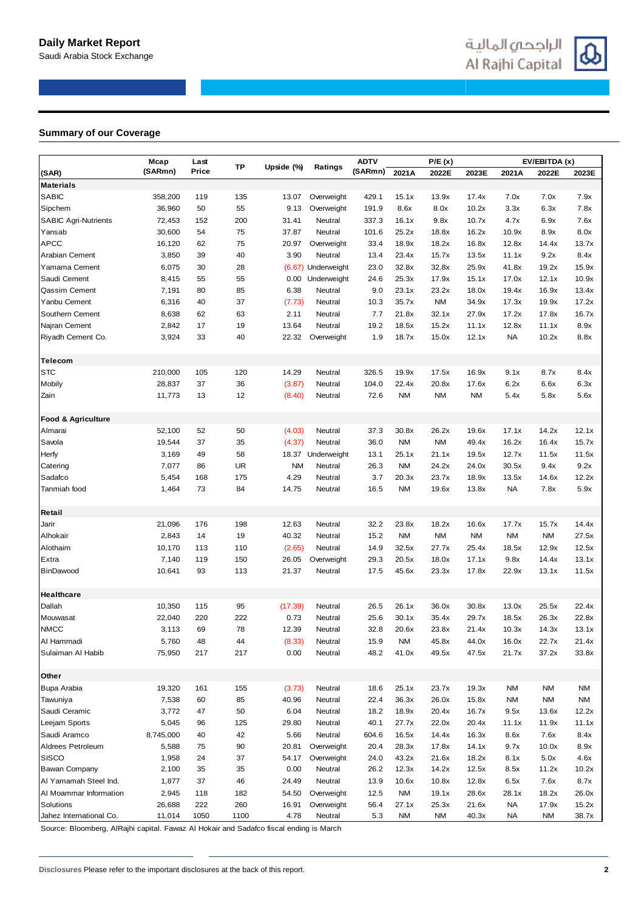## **Summary of our Coverage**

|                               | Mcap      | Last  |           |            |                    | <b>ADTV</b> |           | P/E(x)    |           |           | EV/EBITDA (x) |           |
|-------------------------------|-----------|-------|-----------|------------|--------------------|-------------|-----------|-----------|-----------|-----------|---------------|-----------|
| (SAR)                         | (SARmn)   | Price | ТP        | Upside (%) | Ratings            | (SARmn)     | 2021A     | 2022E     | 2023E     | 2021A     | 2022E         | 2023E     |
| <b>Materials</b>              |           |       |           |            |                    |             |           |           |           |           |               |           |
| <b>SABIC</b>                  | 358,200   | 119   | 135       | 13.07      | Overweight         | 429.1       | 15.1x     | 13.9x     | 17.4x     | 7.0x      | 7.0x          | 7.9x      |
| Sipchem                       | 36,960    | 50    | 55        | 9.13       | Overweight         | 191.9       | 8.6x      | 8.0x      | 10.2x     | 3.3x      | 6.3x          | 7.8x      |
| <b>SABIC Agri-Nutrients</b>   | 72,453    | 152   | 200       | 31.41      | Neutral            | 337.3       | 16.1x     | 9.8x      | 10.7x     | 4.7x      | 6.9x          | 7.6x      |
| Yansab                        | 30,600    | 54    | 75        | 37.87      | Neutral            | 101.6       | 25.2x     | 18.8x     | 16.2x     | 10.9x     | 8.9x          | 8.0x      |
| <b>APCC</b>                   | 16,120    | 62    | 75        | 20.97      | Overweight         | 33.4        | 18.9x     | 18.2x     | 16.8x     | 12.8x     | 14.4x         | 13.7x     |
| Arabian Cement                | 3,850     | 39    | 40        | 3.90       | Neutral            | 13.4        | 23.4x     | 15.7x     | 13.5x     | 11.1x     | 9.2x          | 8.4x      |
| Yamama Cement                 | 6,075     | 30    | 28        |            | (6.67) Underweight | 23.0        | 32.8x     | 32.8x     | 25.9x     | 41.8x     | 19.2x         | 15.9x     |
| Saudi Cement                  | 8,415     | 55    | 55        | 0.00       | Underweight        | 24.6        | 25.3x     | 17.9x     | 15.1x     | 17.0x     | 12.1x         | 10.9x     |
| Qassim Cement                 | 7,191     | 80    | 85        | 6.38       | Neutral            | 9.0         | 23.1x     | 23.2x     | 18.0x     | 19.4x     | 16.9x         | 13.4x     |
| Yanbu Cement                  | 6,316     | 40    | 37        | (7.73)     | Neutral            | 10.3        | 35.7x     | <b>NM</b> | 34.9x     | 17.3x     | 19.9x         | 17.2x     |
| Southern Cement               | 8,638     | 62    | 63        | 2.11       | Neutral            | 7.7         | 21.8x     | 32.1x     | 27.9x     | 17.2x     | 17.8x         | 16.7x     |
| Najran Cement                 | 2,842     | 17    | 19        | 13.64      | Neutral            | 19.2        | 18.5x     | 15.2x     | 11.1x     | 12.8x     | 11.1x         | 8.9x      |
| Riyadh Cement Co.             | 3,924     | 33    | 40        | 22.32      | Overweight         | 1.9         | 18.7x     | 15.0x     | 12.1x     | <b>NA</b> | 10.2x         | 8.8x      |
|                               |           |       |           |            |                    |             |           |           |           |           |               |           |
| Telecom                       |           |       |           |            |                    |             |           |           |           |           |               |           |
| <b>STC</b>                    | 210,000   | 105   | 120       | 14.29      | Neutral            | 326.5       | 19.9x     | 17.5x     | 16.9x     | 9.1x      | 8.7x          | 8.4x      |
| Mobily                        | 28,837    | 37    | 36        | (3.87)     | Neutral            | 104.0       | 22.4x     | 20.8x     | 17.6x     | 6.2x      | 6.6x          | 6.3x      |
| Zain                          | 11,773    | 13    | 12        | (8.40)     | Neutral            | 72.6        | <b>NM</b> | <b>NM</b> | <b>NM</b> | 5.4x      | 5.8x          | 5.6x      |
| <b>Food &amp; Agriculture</b> |           |       |           |            |                    |             |           |           |           |           |               |           |
| Almarai                       | 52,100    | 52    | 50        | (4.03)     | Neutral            | 37.3        | 30.8x     | 26.2x     | 19.6x     | 17.1x     | 14.2x         | 12.1x     |
| Savola                        | 19,544    | 37    | 35        | (4.37)     | Neutral            | 36.0        | <b>NM</b> | <b>NM</b> | 49.4x     | 16.2x     | 16.4x         | 15.7x     |
| Herfy                         | 3,169     | 49    | 58        |            | 18.37 Underweight  | 13.1        | 25.1x     | 21.1x     | 19.5x     | 12.7x     | 11.5x         | 11.5x     |
| Catering                      | 7,077     | 86    | <b>UR</b> | <b>NM</b>  | Neutral            | 26.3        | <b>NM</b> | 24.2x     | 24.0x     | 30.5x     | 9.4x          | 9.2x      |
| Sadafco                       | 5,454     | 168   | 175       | 4.29       | Neutral            | 3.7         | 20.3x     | 23.7x     | 18.9x     | 13.5x     | 14.6x         | 12.2x     |
| Tanmiah food                  | 1,464     | 73    | 84        | 14.75      | Neutral            | 16.5        | <b>NM</b> | 19.6x     | 13.8x     | NA        | 7.8x          | 5.9x      |
| Retail                        |           |       |           |            |                    |             |           |           |           |           |               |           |
| Jarir                         | 21,096    | 176   | 198       | 12.63      | Neutral            | 32.2        | 23.8x     | 18.2x     | 16.6x     | 17.7x     | 15.7x         | 14.4x     |
| Alhokair                      | 2,843     | 14    | 19        | 40.32      | Neutral            | 15.2        | <b>NM</b> | <b>NM</b> | <b>NM</b> | <b>NM</b> | <b>NM</b>     | 27.5x     |
| Alothaim                      | 10,170    | 113   | 110       | (2.65)     | Neutral            | 14.9        | 32.5x     | 27.7x     | 25.4x     | 18.5x     | 12.9x         | 12.5x     |
| Extra                         | 7,140     | 119   | 150       | 26.05      | Overweight         | 29.3        | 20.5x     | 18.0x     | 17.1x     | 9.8x      | 14.4x         | 13.1x     |
| BinDawood                     | 10,641    | 93    | 113       | 21.37      | Neutral            | 17.5        | 45.6x     | 23.3x     | 17.8x     | 22.9x     | 13.1x         | 11.5x     |
|                               |           |       |           |            |                    |             |           |           |           |           |               |           |
| Healthcare                    |           |       |           |            |                    |             |           |           |           |           |               |           |
| Dallah                        | 10,350    | 115   | 95        | (17.39)    | Neutral            | 26.5        | 26.1x     | 36.0x     | 30.8x     | 13.0x     | 25.5x         | 22.4x     |
| Mouwasat                      | 22,040    | 220   | 222       | 0.73       | Neutral            | 25.6        | 30.1x     | 35.4x     | 29.7x     | 18.5x     | 26.3x         | 22.8x     |
| <b>NMCC</b>                   | 3,113     | 69    | 78        | 12.39      | Neutral            | 32.8        | 20.6x     | 23.8x     | 21.4x     | 10.3x     | 14.3x         | 13.1x     |
| Al Hammadi                    | 5,760     | 48    | 44        | (8.33)     | Neutral            | 15.9        | NM        | 45.8x     | 44.0x     | 16.0x     | 22.7x         | 21.4x     |
| Sulaiman Al Habib             | 75,950    | 217   | 217       | 0.00       | Neutral            | 48.2        | 41.0x     | 49.5x     | 47.5x     | 21.7x     | 37.2x         | 33.8x     |
| Other                         |           |       |           |            |                    |             |           |           |           |           |               |           |
| Bupa Arabia                   | 19,320    | 161   | 155       | (3.73)     | Neutral            | 18.6        | 25.1x     | 23.7x     | 19.3x     | <b>NM</b> | <b>NM</b>     | <b>NM</b> |
| Tawuniya                      | 7,538     | 60    | 85        | 40.96      | Neutral            | 22.4        | 36.3x     | 26.0x     | 15.8x     | <b>NM</b> | <b>NM</b>     | NM        |
| Saudi Ceramic                 | 3,772     | 47    | 50        | 6.04       | Neutral            | 18.2        | 18.9x     | 20.4x     | 16.7x     | 9.5x      | 13.6x         | 12.2x     |
| Leejam Sports                 | 5,045     | 96    | 125       | 29.80      | Neutral            | 40.1        | 27.7x     | 22.0x     | 20.4x     | 11.1x     | 11.9x         | 11.1x     |
| Saudi Aramco                  | 8,745,000 | 40    | 42        | 5.66       | Neutral            | 604.6       | 16.5x     | 14.4x     | 16.3x     | 8.6x      | 7.6x          | 8.4x      |
| Aldrees Petroleum             | 5,588     | 75    | 90        | 20.81      | Overweight         | 20.4        | 28.3x     | 17.8x     | 14.1x     | 9.7x      | 10.0x         | 8.9x      |
| <b>SISCO</b>                  | 1,958     | 24    | 37        | 54.17      | Overweight         | 24.0        | 43.2x     | 21.6x     | 18.2x     | 8.1x      | 5.0x          | 4.6x      |
| Bawan Company                 | 2,100     | 35    | 35        | 0.00       | Neutral            | 26.2        | 12.3x     | 14.2x     | 12.5x     | 8.5x      | 11.2x         | 10.2x     |
| Al Yamamah Steel Ind.         | 1,877     | 37    | 46        | 24.49      | Neutral            | 13.9        | 10.6x     | 10.8x     | 12.8x     | 6.5x      | 7.6x          | 8.7x      |
| Al Moammar Information        | 2,945     | 118   | 182       | 54.50      | Overweight         | 12.5        | NM        | 19.1x     | 28.6x     | 28.1x     | 18.2x         | 26.0x     |
| Solutions                     | 26,688    | 222   | 260       | 16.91      | Overweight         | 56.4        | 27.1x     | 25.3x     | 21.6x     | <b>NA</b> | 17.9x         | 15.2x     |
| Jahez International Co.       | 11,014    | 1050  | 1100      | 4.78       | Neutral            | 5.3         | NM        | ΝM        | 40.3x     | NA        | ΝM            | 38.7x     |
|                               |           |       |           |            |                    |             |           |           |           |           |               |           |

Source: Bloomberg, AlRajhi capital. Fawaz Al Hokair and Sadafco fiscal ending is March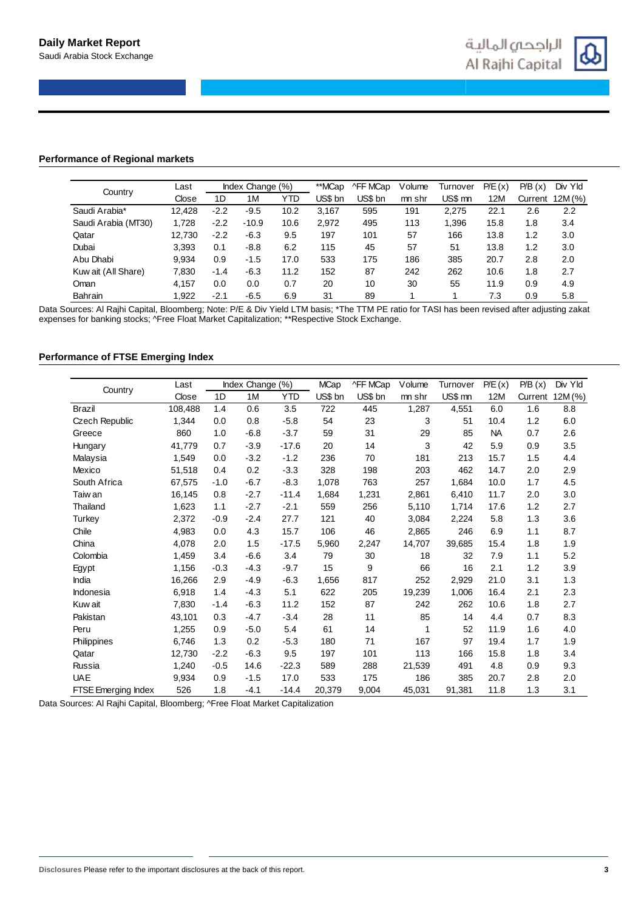

## **Performance of Regional markets**

| Country             | Last   |        | Index Change (%) |      | **MCap  | ^FF MCap | Volume | Turnover | P/E(x) | P/B(x)  | Div Yld |
|---------------------|--------|--------|------------------|------|---------|----------|--------|----------|--------|---------|---------|
|                     | Close  | 1D     | 1M               | YTD  | US\$ bn | US\$ bn  | mn shr | US\$ mn  | 12M    | Current | 12M(%)  |
| Saudi Arabia*       | 12.428 | $-2.2$ | $-9.5$           | 10.2 | 3.167   | 595      | 191    | 2.275    | 22.7   | 2.6     | 2.2     |
| Saudi Arabia (MT30) | 1.728  | $-2.2$ | $-10.9$          | 10.6 | 2.972   | 495      | 113    | 1.396    | 15.8   | 1.8     | 3.4     |
| Qatar               | 12.730 | $-2.2$ | $-6.3$           | 9.5  | 197     | 101      | 57     | 166      | 13.8   | 1.2     | 3.0     |
| Dubai               | 3.393  | 0.1    | $-8.8$           | 6.2  | 115     | 45       | 57     | 51       | 13.8   | 1.2     | 3.0     |
| Abu Dhabi           | 9,934  | 0.9    | $-1.5$           | 17.0 | 533     | 175      | 186    | 385      | 20.7   | 2.8     | 2.0     |
| Kuw ait (All Share) | 7.830  | $-1.4$ | $-6.3$           | 11.2 | 152     | 87       | 242    | 262      | 10.6   | 1.8     | 2.7     |
| Oman                | 4.157  | 0.0    | 0.0              | 0.7  | 20      | 10       | 30     | 55       | 11.9   | 0.9     | 4.9     |
| Bahrain             | 1.922  | $-2.1$ | $-6.5$           | 6.9  | 31      | 89       |        |          | 7.3    | 0.9     | 5.8     |

Data Sources: Al Rajhi Capital, Bloomberg; Note: P/E & Div Yield LTM basis; \*The TTM PE ratio for TASI has been revised after adjusting zakat expenses for banking stocks; ^Free Float Market Capitalization; \*\*Respective Stock Exchange.

## **Performance of FTSE Emerging Index**

|                       | Last    |        | Index Change (%) |            | <b>MCap</b> | ^FF MCap | Volume | Turnover | P/E(x)    | P/B(x)  | Div Yld |
|-----------------------|---------|--------|------------------|------------|-------------|----------|--------|----------|-----------|---------|---------|
| Country               | Close   | 1D     | 1M               | <b>YTD</b> | US\$ bn     | US\$ bn  | mn shr | US\$ mn  | 12M       | Current | 12M (%) |
| <b>Brazil</b>         | 108,488 | 1.4    | 0.6              | 3.5        | 722         | 445      | 1,287  | 4,551    | 6.0       | 1.6     | 8.8     |
| <b>Czech Republic</b> | 1,344   | 0.0    | 0.8              | $-5.8$     | 54          | 23       | 3      | 51       | 10.4      | 1.2     | 6.0     |
| Greece                | 860     | 1.0    | $-6.8$           | $-3.7$     | 59          | 31       | 29     | 85       | <b>NA</b> | 0.7     | 2.6     |
| Hungary               | 41.779  | 0.7    | $-3.9$           | $-17.6$    | 20          | 14       | 3      | 42       | 5.9       | 0.9     | 3.5     |
| Malaysia              | 1,549   | 0.0    | $-3.2$           | $-1.2$     | 236         | 70       | 181    | 213      | 15.7      | 1.5     | 4.4     |
| Mexico                | 51,518  | 0.4    | 0.2              | $-3.3$     | 328         | 198      | 203    | 462      | 14.7      | 2.0     | 2.9     |
| South Africa          | 67,575  | $-1.0$ | $-6.7$           | $-8.3$     | 1,078       | 763      | 257    | 1.684    | 10.0      | 1.7     | 4.5     |
| Taiw an               | 16,145  | 0.8    | $-2.7$           | $-11.4$    | 1,684       | 1,231    | 2,861  | 6,410    | 11.7      | 2.0     | 3.0     |
| Thailand              | 1,623   | 1.1    | $-2.7$           | $-2.1$     | 559         | 256      | 5,110  | 1,714    | 17.6      | 1.2     | 2.7     |
| Turkey                | 2,372   | $-0.9$ | $-2.4$           | 27.7       | 121         | 40       | 3,084  | 2,224    | 5.8       | 1.3     | 3.6     |
| Chile                 | 4,983   | 0.0    | 4.3              | 15.7       | 106         | 46       | 2,865  | 246      | 6.9       | 1.1     | 8.7     |
| China                 | 4,078   | 2.0    | 1.5              | $-17.5$    | 5,960       | 2,247    | 14,707 | 39.685   | 15.4      | 1.8     | 1.9     |
| Colombia              | 1,459   | 3.4    | $-6.6$           | 3.4        | 79          | 30       | 18     | 32       | 7.9       | 1.1     | 5.2     |
| Egypt                 | 1,156   | $-0.3$ | $-4.3$           | $-9.7$     | 15          | 9        | 66     | 16       | 2.1       | 1.2     | 3.9     |
| India                 | 16,266  | 2.9    | $-4.9$           | $-6.3$     | 1,656       | 817      | 252    | 2,929    | 21.0      | 3.1     | 1.3     |
| Indonesia             | 6.918   | 1.4    | $-4.3$           | 5.1        | 622         | 205      | 19,239 | 1,006    | 16.4      | 2.1     | 2.3     |
| Kuw ait               | 7,830   | $-1.4$ | $-6.3$           | 11.2       | 152         | 87       | 242    | 262      | 10.6      | 1.8     | 2.7     |
| Pakistan              | 43,101  | 0.3    | $-4.7$           | $-3.4$     | 28          | 11       | 85     | 14       | 4.4       | 0.7     | 8.3     |
| Peru                  | 1,255   | 0.9    | $-5.0$           | 5.4        | 61          | 14       | 1      | 52       | 11.9      | 1.6     | 4.0     |
| Philippines           | 6,746   | 1.3    | 0.2              | $-5.3$     | 180         | 71       | 167    | 97       | 19.4      | 1.7     | 1.9     |
| Qatar                 | 12,730  | $-2.2$ | $-6.3$           | 9.5        | 197         | 101      | 113    | 166      | 15.8      | 1.8     | 3.4     |
| Russia                | 1,240   | $-0.5$ | 14.6             | $-22.3$    | 589         | 288      | 21,539 | 491      | 4.8       | 0.9     | 9.3     |
| <b>UAE</b>            | 9,934   | 0.9    | $-1.5$           | 17.0       | 533         | 175      | 186    | 385      | 20.7      | 2.8     | 2.0     |
| FTSE Emerging Index   | 526     | 1.8    | -4.1             | $-14.4$    | 20,379      | 9,004    | 45,031 | 91,381   | 11.8      | 1.3     | 3.1     |

Data Sources: Al Rajhi Capital, Bloomberg; ^Free Float Market Capitalization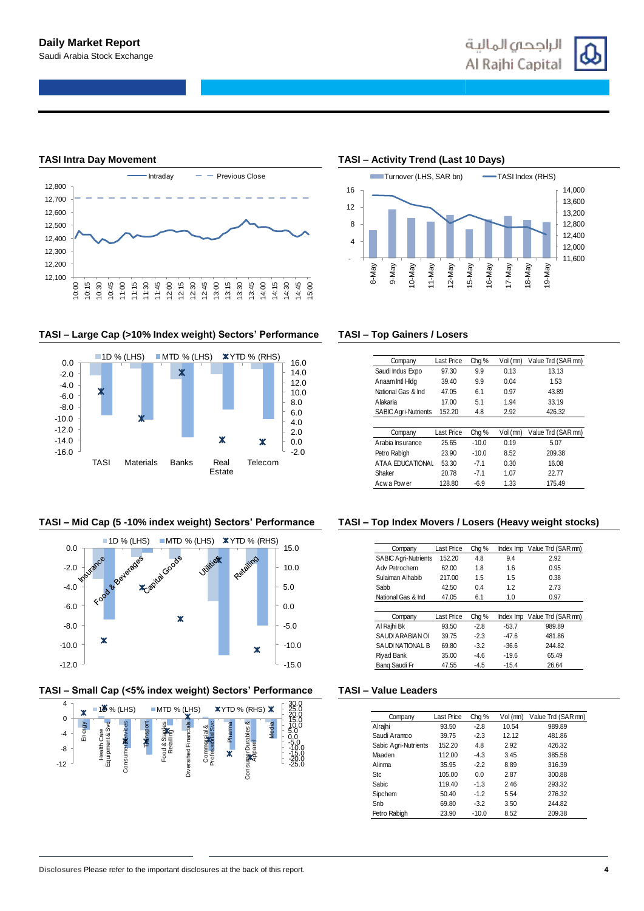

## **TASI – Large Cap (>10% Index weight) Sectors' Performance TASI – Top Gainers / Losers**



## **TASI – Mid Cap (5 -10% index weight) Sectors' Performance TASI – Top Index Movers / Losers (Heavy weight stocks)**



## **TASI – Small Cap (<5% index weight) Sectors' Performance TASI – Value Leaders**



## **TASI Intra Day Movement TASI – Activity Trend (Last 10 Days)**



| Company                                              | Last Price | Chg <sub>%</sub> | Vol (mn) | Value Trd (SAR mn) |
|------------------------------------------------------|------------|------------------|----------|--------------------|
| Saudi Indus Expo                                     | 97.30      | 9.9              | 0.13     | 13.13              |
| Anaam Intl Hidg                                      | 39.40      | 9.9              | 0.04     | 1.53               |
| National Gas & Ind                                   | 47.05      | 6.1              | 0.97     | 43.89              |
| Alakaria                                             | 17.00      | 5.1              | 1.94     | 33.19              |
| <b>SABIC Agri-Nutrients</b>                          | 152.20     | 4.8              | 2.92     | 426.32             |
|                                                      |            |                  |          |                    |
|                                                      |            |                  |          |                    |
| Company                                              | Last Price | Chg <sub>%</sub> | Vol (mn) | Value Trd (SAR mn) |
|                                                      | 25.65      | $-10.0$          | 0.19     | 5.07               |
|                                                      | 23.90      | $-10.0$          | 8.52     | 209.38             |
| Arabia Insurance<br>Petro Rabigh<br>ATAA EDUCATIONAL | 53.30      | $-71$            | 0.30     | 16.08              |
| Shaker                                               | 20.78      | $-71$            | 1.07     | 22 77              |

| Company                     | Last Price | Chg %  | Index Imp | Value Trd (SAR mn) |
|-----------------------------|------------|--------|-----------|--------------------|
| <b>SABIC Agri-Nutrients</b> | 152.20     | 4.8    | 9.4       | 2.92               |
| Adv Petrochem               | 62.00      | 1.8    | 1.6       | 0.95               |
| Sulaiman Alhabib            | 217.00     | 1.5    | 1.5       | 0.38               |
| Sabb                        | 42.50      | 0.4    | 1.2       | 2.73               |
| National Gas & Ind          | 47.05      | 6.1    | 1.0       | 0.97               |
|                             |            |        |           |                    |
| Company                     | Last Price | Chg %  | Index Imp | Value Trd (SAR mn) |
| Al Rajhi Bk                 |            |        |           |                    |
|                             | 93.50      | $-2.8$ | $-53.7$   | 989.89             |
| SAUDI ARABIAN OI            | 39.75      | $-2.3$ | $-47.6$   | 481.86             |
| SAUDI NATIONAL B            | 69.80      | $-3.2$ | $-36.6$   | 244.82             |
| Riyad Bank                  | 35.00      | $-4.6$ | $-19.6$   | 65.49              |

| Company              | Last Price | Chg %   | Vol (mn) | Value Trd (SAR mn) |
|----------------------|------------|---------|----------|--------------------|
| Alrajhi              | 93.50      | $-2.8$  | 10.54    | 989.89             |
| Saudi Aramco         | 39.75      | $-2.3$  | 12.12    | 481.86             |
| Sabic Agri-Nutrients | 152.20     | 4.8     | 2.92     | 426.32             |
| Maaden               | 112.00     | $-4.3$  | 3.45     | 385.58             |
| Alinma               | 35.95      | $-2.2$  | 8.89     | 316.39             |
| <b>Stc</b>           | 105.00     | 0.0     | 2.87     | 300.88             |
| <b>Sabic</b>         | 119.40     | $-1.3$  | 2.46     | 293.32             |
| Sipchem              | 50.40      | $-1.2$  | 5.54     | 276.32             |
| Snb                  | 69.80      | $-3.2$  | 3.50     | 244.82             |
| Petro Rabigh         | 23.90      | $-10.0$ | 8.52     | 209.38             |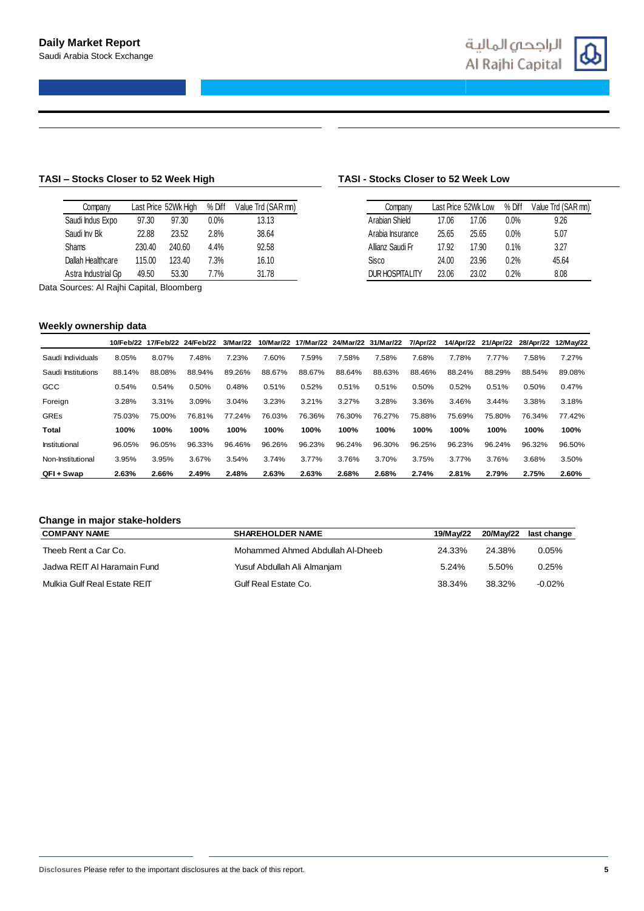

## **TASI – Stocks Closer to 52 Week High TASI - Stocks Closer to 52 Week Low**

| Company             |        | Last Price 52Wk High | % Diff  | Value Trd (SAR mn) |
|---------------------|--------|----------------------|---------|--------------------|
| Saudi Indus Expo    | 97.30  | 97.30                | $0.0\%$ | 13.13              |
| Saudi Inv Bk        | 22.88  | 23.52                | 2.8%    | 38.64              |
| <b>Shams</b>        | 230.40 | 240.60               | 4.4%    | 92.58              |
| Dallah Healthcare   | 115.00 | 123.40               | 7.3%    | 16.10              |
| Astra Industrial Gp | 49.50  | 53.30                | 7.7%    | 31.78              |

Data Sources: Al Rajhi Capital, Bloomberg

## **Weekly ownership data**

| Company                |       | Last Price 52Wk Low | % Diff  | Value Trd (SAR mn) |
|------------------------|-------|---------------------|---------|--------------------|
| Arabian Shield         | 17.06 | 17.06               | $0.0\%$ | 9.26               |
| Arabia Insurance       | 25.65 | 25.65               | $0.0\%$ | 5.07               |
| Allianz Saudi Fr       | 17.92 | 17.90               | 0.1%    | 3.27               |
| Sisco                  | 24.00 | 23.96               | 0.2%    | 45.64              |
| <b>DUR HOSPITALITY</b> | 23.06 | 23.02               | 0.2%    | 8.08               |

|                    | 10/Feb/22 | 17/Feb/22 | 24/Feb/22 | 3/Mar/22 | 10/Mar/22 |        |        | 17/Mar/22 24/Mar/22 31/Mar/22 | 7/Apr/22 |        | 14/Apr/22 21/Apr/22 | 28/Apr/22 | 12/May/22 |
|--------------------|-----------|-----------|-----------|----------|-----------|--------|--------|-------------------------------|----------|--------|---------------------|-----------|-----------|
| Saudi Individuals  | 8.05%     | 8.07%     | 7.48%     | 7.23%    | 7.60%     | 7.59%  | 7.58%  | 7.58%                         | 7.68%    | 7.78%  | 7.77%               | 7.58%     | 7.27%     |
| Saudi Institutions | 88.14%    | 88.08%    | 88.94%    | 89.26%   | 88.67%    | 88.67% | 88.64% | 88.63%                        | 88.46%   | 88.24% | 88.29%              | 88.54%    | 89.08%    |
| GCC                | 0.54%     | 0.54%     | 0.50%     | 0.48%    | 0.51%     | 0.52%  | 0.51%  | 0.51%                         | 0.50%    | 0.52%  | 0.51%               | 0.50%     | 0.47%     |
| Foreign            | 3.28%     | 3.31%     | 3.09%     | 3.04%    | 3.23%     | 3.21%  | 3.27%  | 3.28%                         | 3.36%    | 3.46%  | 3.44%               | 3.38%     | 3.18%     |
| <b>GREs</b>        | 75.03%    | 75.00%    | 76.81%    | 77.24%   | 76.03%    | 76.36% | 76.30% | 76.27%                        | 75.88%   | 75.69% | 75.80%              | 76.34%    | 77.42%    |
| <b>Total</b>       | 100%      | 100%      | 100%      | 100%     | 100%      | 100%   | 100%   | 100%                          | 100%     | 100%   | 100%                | 100%      | 100%      |
| Institutional      | 96.05%    | 96.05%    | 96.33%    | 96.46%   | 96.26%    | 96.23% | 96.24% | 96.30%                        | 96.25%   | 96.23% | 96.24%              | 96.32%    | 96.50%    |
| Non-Institutional  | 3.95%     | 3.95%     | 3.67%     | 3.54%    | 3.74%     | 3.77%  | 3.76%  | 3.70%                         | 3.75%    | 3.77%  | 3.76%               | 3.68%     | 3.50%     |
| QFI + Swap         | 2.63%     | 2.66%     | 2.49%     | 2.48%    | 2.63%     | 2.63%  | 2.68%  | 2.68%                         | 2.74%    | 2.81%  | 2.79%               | 2.75%     | 2.60%     |

## **Change in major stake-holders**

| <b>COMPANY NAME</b>          | <b>SHAREHOLDER NAME</b>          | 19/Mav/22 |        | 20/May/22 last change |
|------------------------------|----------------------------------|-----------|--------|-----------------------|
| Theeb Rent a Car Co.         | Mohammed Ahmed Abdullah Al-Dheeb | 24.33%    | 24.38% | $0.05\%$              |
| Jadwa REIT AI Haramain Fund  | Yusuf Abdullah Ali Almanjam      | 5.24%     | 5.50%  | 0.25%                 |
| Mulkia Gulf Real Estate REIT | Gulf Real Estate Co.             | 38.34%    | 38.32% | $-0.02\%$             |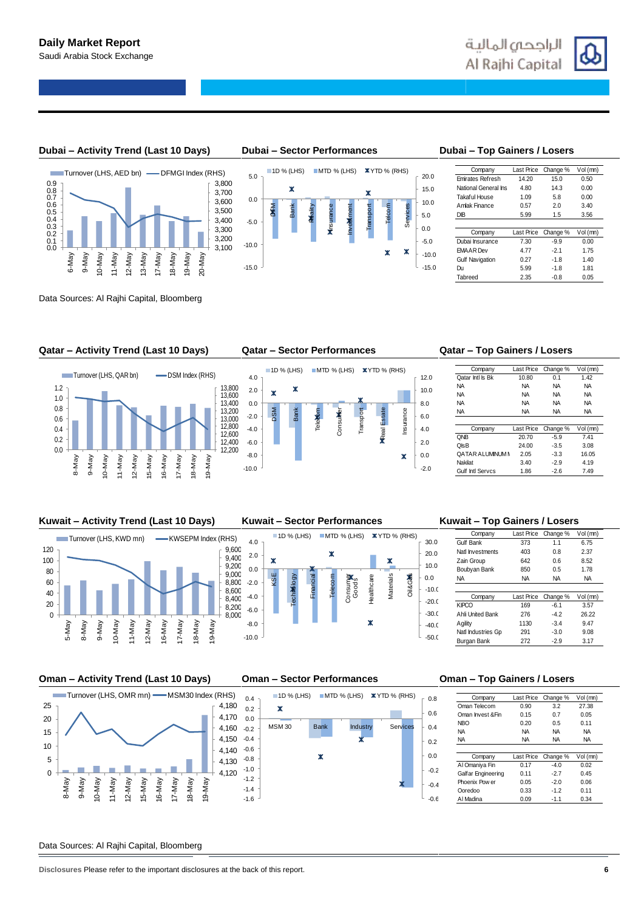



Data Sources: Al Rajhi Capital, Bloomberg

### **Qatar – Activity Trend (Last 10 Days) Qatar – Sector Performances Qatar – Top Gainers / Losers**



DFM Bank Reality Insurance Investment Transport

×



 $1D$  % (LHS) MTD % (LHS) XYTD % (RHS)

| Company                 | Last Price | Change % | Vol (mn) |
|-------------------------|------------|----------|----------|
| <b>Emirates Refresh</b> | 14.20      | 15.0     | 0.50     |
| National General Ins    | 4.80       | 14.3     | 0.00     |
| Takaful House           | 1.09       | 5.8      | 0.00     |
| Amlak Finance           | 0.57       | 2.0      | 3.40     |
| DB                      | 5.99       | 1.5      | 3.56     |
|                         |            |          |          |
| Company                 | Last Price | Change % | Vol (mn) |
| Dubai Insurance         | 7.30       | $-9.9$   | 0.00     |
| <b>EMAAR Dev</b>        | 4.77       | $-2.1$   | 1.75     |
| <b>Gulf Navigation</b>  | 0.27       | $-1.8$   | 1.40     |
| Du                      | 5.99       | $-1.8$   | 1.81     |
|                         |            |          |          |

-15.0 -10.0 -5.0 0.0 5.0 10.0 15.0 20.0

Telcom Services

 $\overline{\mathbf{x}}$  $\boldsymbol{\mathsf{x}}$ 

| Company                 | Last Price | Change %  | Vol (mn)  |
|-------------------------|------------|-----------|-----------|
| Oatar Intl Is Bk        | 10.80      | 0.1       | 1.42      |
| <b>NA</b>               | NA         | <b>NA</b> | <b>NA</b> |
| <b>NA</b>               | <b>NA</b>  | <b>NA</b> | <b>NA</b> |
| <b>NA</b>               | NA         | <b>NA</b> | <b>NA</b> |
| <b>NA</b>               | NA         | <b>NA</b> | <b>NA</b> |
|                         |            |           |           |
| Company                 | Last Price | Change %  | Vol (mn)  |
| ONB                     | 20.70      | $-5.9$    | 7.41      |
| OkB                     | 24.00      | $-3.5$    | 3.08      |
| <b>OATAR ALUMINUM N</b> | 2.05       | $-3.3$    | 16.05     |
| Nakilat                 | 3.40       | $-2.9$    | 4.19      |
|                         |            |           |           |

## **Kuwait – Activity Trend (Last 10 Days) Kuwait – Sector Performances Kuwait – Top Gainers / Losers**



## **Oman – Activity Trend (Last 10 Days) Oman – Sector Performances Oman – Top Gainers / Losers**







### ■1D % (LHS) ■MTD % (LHS) W YTD % (RHS) Company Last Price Change % Vol (mn) Gulf Bank Natl Investments 403 0.8 2.37 Zain Group 642 0.6 8.52

| Boubyan Bank       | 850        | 0.5       | 1.78      |
|--------------------|------------|-----------|-----------|
| <b>NA</b>          | <b>NA</b>  | <b>NA</b> | <b>NA</b> |
|                    |            |           |           |
| Company            | Last Price | Change %  | Vol (mn)  |
| <b>KIPCO</b>       | 169        | $-6.1$    | 3.57      |
| Ahli United Bank   | 276        | $-4.2$    | 26.22     |
| Agility            | 1130       | $-3.4$    | 9.47      |
| Natl Industries Gp | 291        | $-3.0$    | 9.08      |
| Burgan Bank        | 272        | $-2.9$    | 3.17      |



| Company            | Last Price | Change %  | Vol (mn)  |
|--------------------|------------|-----------|-----------|
| Oman Telecom       | 0.90       | 3.2       | 27.38     |
| Oman Invest & Fin  | 0.15       | 0.7       | 0.05      |
| NBO                | 0.20       | 0.5       | 0.11      |
| NA                 | <b>NA</b>  | <b>NA</b> | <b>NA</b> |
| NA                 | <b>NA</b>  | <b>NA</b> | <b>NA</b> |
| Company            | Last Price | Change %  | Vol (mn)  |
| Al Omaniya Fin     | 0.17       | $-4.0$    | 0.02      |
| Galfar Engineering | 0.11       | $-2.7$    | 0.45      |
| Phoenix Pow er     | 0.05       | $-2.0$    | 0.06      |
|                    |            |           |           |
| Ooredoo            | 0.33       | $-1.2$    | 0.11      |

Data Sources: Al Rajhi Capital, Bloomberg

**Disclosures** Please refer to the important disclosures at the back of this report. **6**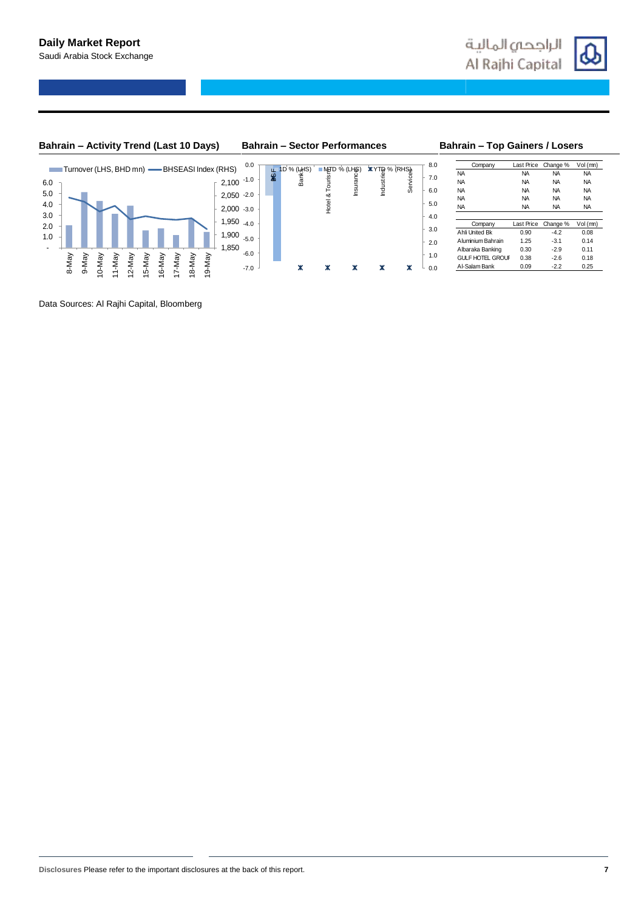

## **Bahrain – Activity Trend (Last 10 Days) Bahrain – Sector Performances Bahrain – Top Gainers / Losers**



|            |       |       |                    |                |                |                |        |       |        |                | Turnover (LHS, BHD mn) -BHSEASI Index (RHS) | 0.0    |           |                                     | ∎M⊞D  | % (LHS) |                                                                                                                                                                                                                                                            |   |
|------------|-------|-------|--------------------|----------------|----------------|----------------|--------|-------|--------|----------------|---------------------------------------------|--------|-----------|-------------------------------------|-------|---------|------------------------------------------------------------------------------------------------------------------------------------------------------------------------------------------------------------------------------------------------------------|---|
| 6.0        |       |       |                    |                |                |                |        |       |        |                | $-2,100$ $-1.0$                             |        | <b>SE</b> | $\frac{10 \%}{\frac{20}{10}}$ (LMS) |       | nsura   | <b>VERTAL OF STRAKE SERVAL</b><br><b>SERVERT SERVERT SERVER</b><br>BUT SERVERT SERVERT SERVERT SERVERT SERVERT SERVERT SERVERT SERVERT SERVERT SERVERT SERVERT SERVERT SERVERT S<br>SERVERT SERVERT SERVERT SERVERT SERVERT SERVERT SERVERT SE<br>Industri |   |
| 5.0        |       |       |                    |                |                |                |        |       |        |                | 2,050                                       | $-2.0$ |           |                                     | య     |         |                                                                                                                                                                                                                                                            |   |
| 4.0        |       |       |                    |                |                |                |        |       |        |                | $2,000 -3.0$                                |        |           |                                     | Hotel |         |                                                                                                                                                                                                                                                            |   |
| 3.0<br>2.0 |       |       |                    |                |                |                |        |       |        |                | 1,950                                       | $-4.0$ |           |                                     |       |         |                                                                                                                                                                                                                                                            |   |
| 1.0        |       |       |                    |                |                |                |        |       |        |                | 1,900                                       | $-5.0$ |           |                                     |       |         |                                                                                                                                                                                                                                                            |   |
|            |       |       |                    |                |                |                |        |       |        |                | 1,850                                       |        |           |                                     |       |         |                                                                                                                                                                                                                                                            |   |
|            | 8-May | 9-May | Ve <sub>M</sub> -0 | 1-May          | 2-May          | 5-May          |        | 7-May |        | 9-May          |                                             | $-6.0$ |           |                                     |       |         |                                                                                                                                                                                                                                                            |   |
|            |       |       | $\overline{ }$     | $\overline{ }$ | $\overline{ }$ | $\overline{ }$ | 16-May | ↽     | 18-May | $\overline{ }$ |                                             | $-7.0$ |           |                                     |       | ж       | ж                                                                                                                                                                                                                                                          | ж |

|            |              |          |                                                |         | 8.0                     | Company           | Last Price | Change %  | Vol (mn)  |
|------------|--------------|----------|------------------------------------------------|---------|-------------------------|-------------------|------------|-----------|-----------|
| 1D % (LHS) | ■MHD % (LHS) |          | (RHS) % MTY<br>90 Bili<br>90 Bili<br><b>NA</b> |         |                         | <b>NA</b>         | <b>NA</b>  | <b>NA</b> |           |
| Bank:      | Tourist      | Insuranc |                                                | Service | 7.0                     | <b>NA</b>         | <b>NA</b>  | <b>NA</b> | <b>NA</b> |
|            |              |          | ē                                              |         | 6.0                     | <b>NA</b>         | <b>NA</b>  | <b>NA</b> | <b>NA</b> |
|            | ఱ            |          |                                                |         |                         | NA                | <b>NA</b>  | <b>NA</b> | <b>NA</b> |
|            | Hotel        |          |                                                |         | 5.0                     | NA                | <b>NA</b>  | <b>NA</b> | <b>NA</b> |
|            |              |          |                                                |         | 4.0                     |                   |            |           |           |
|            |              |          |                                                |         |                         | Company           | Last Price | Change %  | Vol (mn)  |
|            |              |          |                                                |         | 3.0                     | Ahli United Bk    | 0.90       | $-4.2$    | 0.08      |
|            |              |          |                                                |         | 2.0                     | Aluminium Bahrain | 1.25       | $-3.1$    | 0.14      |
|            |              |          | Albaraka Banking                               | 0.30    | $-2.9$                  | 0.11              |            |           |           |
|            |              |          |                                                | 1.0     | <b>GULF HOTEL GROUF</b> | 0.38              | $-2.6$     | 0.18      |           |
| ж          | Ж            | Ж        |                                                | ж       | 0.0                     | Al-Salam Bank     | 0.09       | $-2.2$    | 0.25      |

Data Sources: Al Rajhi Capital, Bloomberg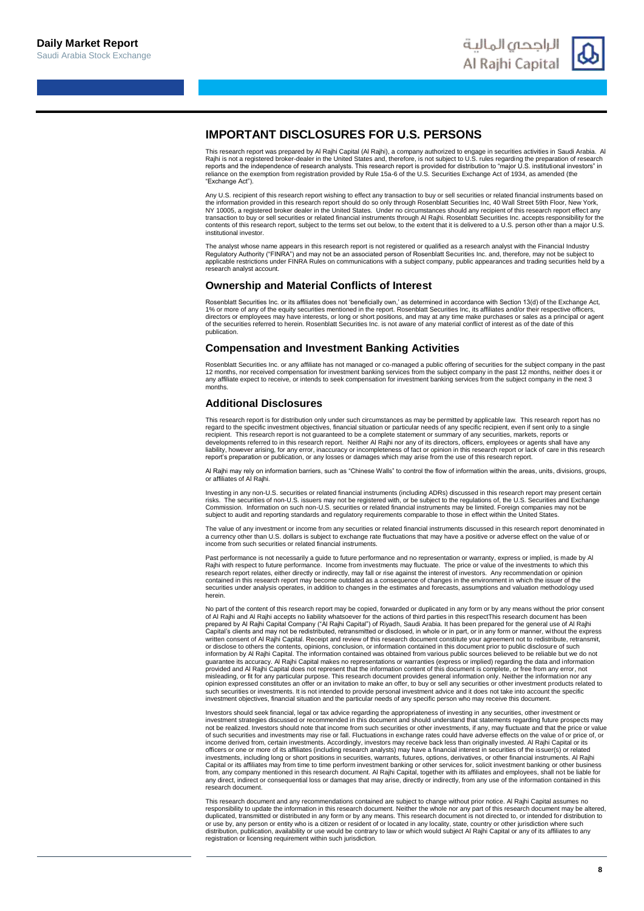

## **IMPORTANT DISCLOSURES FOR U.S. PERSONS**

This research report was prepared by Al Rajhi Capital (Al Rajhi), a company authorized to engage in securities activities in Saudi Arabia. Al Rajhi is not a registered broker-dealer in the United States and, therefore, is not subject to U.S. rules regarding the preparation of research<br>reports and the independence of research analysts. This research report is pro "Exchange Act").

Any U.S. recipient of this research report wishing to effect any transaction to buy or sell securities or related financial instruments based on the information provided in this research report should do so only through Rosenblatt Securities Inc, 40 Wall Street 59th Floor, New York,<br>NY 10005, a registered broker dealer in the United States. Under no circumstances s transaction to buy or sell securities or related financial instruments through Al Rajhi. Rosenblatt Securities Inc. accepts responsibility for the<br>contents of this research report, subject to the terms set out below, to th institutional investor.

The analyst whose name appears in this research report is not registered or qualified as a research analyst with the Financial Industry<br>Regulatory Authority ("FINRA") and may not be an associated person of Rosenblatt Secur research analyst account.

### **Ownership and Material Conflicts of Interest**

Rosenblatt Securities Inc. or its affiliates does not 'beneficially own,' as determined in accordance with Section 13(d) of the Exchange Act, 1% or more of any of the equity securities mentioned in the report. Rosenblatt Securities Inc, its affiliates and/or their respective off directors or employees may have interests, or long or short positions, and may at any time make purchases or sales as a principal or agent<br>of the securities referred to herein. Rosenblatt Securities Inc. is not aware of an publication.

### **Compensation and Investment Banking Activities**

Rosenblatt Securities Inc. or any affiliate has not managed or co-managed a public offering of securities for the subject company in the past 12 months, nor received compensation for investment banking services from the subject company in the past 12 months, neither does it or<br>any affiliate expect to receive, or intends to seek compensation for investment bankin months

### **Additional Disclosures**

This research report is for distribution only under such circumstances as may be permitted by applicable law. This research report has no regard to the specific investment objectives, financial situation or particular needs of any specific recipient, even if sent only to a single<br>recipient. This research report is not guaranteed to be a complete statement o developments referred to in this research report. Neither Al Rajhi nor any of its directors, officers, employees or agents shall have any<br>liability, however arising, for any error, inaccuracy or incompleteness of fact or o report's preparation or publication, or any losses or damages which may arise from the use of this research report.

Al Rajhi may rely on information barriers, such as "Chinese Walls" to control the flow of information within the areas, units, divisions, groups, or affiliates of Al Rajhi.

Investing in any non-U.S. securities or related financial instruments (including ADRs) discussed in this research report may present certain risks. The securities of non-U.S. issuers may not be registered with, or be subject to the regulations of, the U.S. Securities and Exchange<br>Commission. Information on such non-U.S. securities or related financial instrumen subject to audit and reporting standards and regulatory requirements comparable to those in effect within the United States.

The value of any investment or income from any securities or related financial instruments discussed in this research report denominated in a currency other than U.S. dollars is subject to exchange rate fluctuations that may have a positive or adverse effect on the value of or income from such securities or related financial instruments.

t performance is not necessarily a guide to future performance and no representation or warranty, express or implied, is made by Al Rajhi with respect to future performance. Income from investments may fluctuate. The price or value of the investments to which this research report relates, either directly or indirectly, may fall or rise against the interest of investors. Any recommendation or opinion<br>contained in this research report may become outdated as a consequence of changes in securities under analysis operates, in addition to changes in the estimates and forecasts, assumptions and valuation methodology used herein.

No part of the content of this research report may be copied, forwarded or duplicated in any form or by any means without the prior consent<br>of Al Rajhi and Al Rajhi accepts no liability whatsoever for the actions of third Capital's clients and may not be redistributed, retransmitted or disclosed, in whole or in part, or in any form or manner, without the express written consent of Al Rajhi Capital. Receipt and review of this research document constitute your agreement not to redistribute, retransmit,<br>or disclose to others the contents, opinions, conclusion, or information containe information by Al Rajhi Capital. The information contained was obtained from various public sources believed to be reliable but we do not guarantee its accuracy. Al Rajhi Capital makes no representations or warranties (express or implied) regarding the data and information<br>provided and Al Rajhi Capital does not represent that the information content of this misleading, or fit for any particular purpose. This research document provides general information only. Neither the information nor any<br>opinion expressed constitutes an offer or an invitation to make an offer, to buy or s such securities or investments. It is not intended to provide personal investment advice and it does not take into account the specific<br>investment objectives, financial situation and the particular needs of any specific pe

Investors should seek financial, legal or tax advice regarding the appropriateness of investing in any securities, other investment or investment strategies discussed or recommended in this document and should understand that statements regarding future prospects may not be realized. Investors should note that income from such securities or other investments, if any, may fluctuate and that the price or value<br>of such securities and investments may rise or fall. Fluctuations in exchange income derived from, certain investments. Accordingly, investors may receive back less than originally invested. Al Rajhi Capital or its<br>officers or one or more of its affiliates (including research analysts) may have a fi investments, including long or short positions in securities, warrants, futures, options, derivatives, or other financial instruments. Al Rajhi<br>Capital or its affiliates may from time to time perform investment banking or from, any company mentioned in this research document. Al Rajhi Capital, together with its affiliates and employees, shall not be liable for any direct, indirect or consequential loss or damages that may arise, directly or indirectly, from any use of the information contained in this research document.

This research document and any recommendations contained are subject to change without prior notice. Al Rajhi Capital assumes no responsibility to update the information in this research document. Neither the whole nor any part of this research document may be altered,<br>duplicated, transmitted or distributed in any form or by any means. This research distribution, publication, availability or use would be contrary to law or which would subject Al Rajhi Capital or any of its affiliates to any registration or licensing requirement within such jurisdiction.